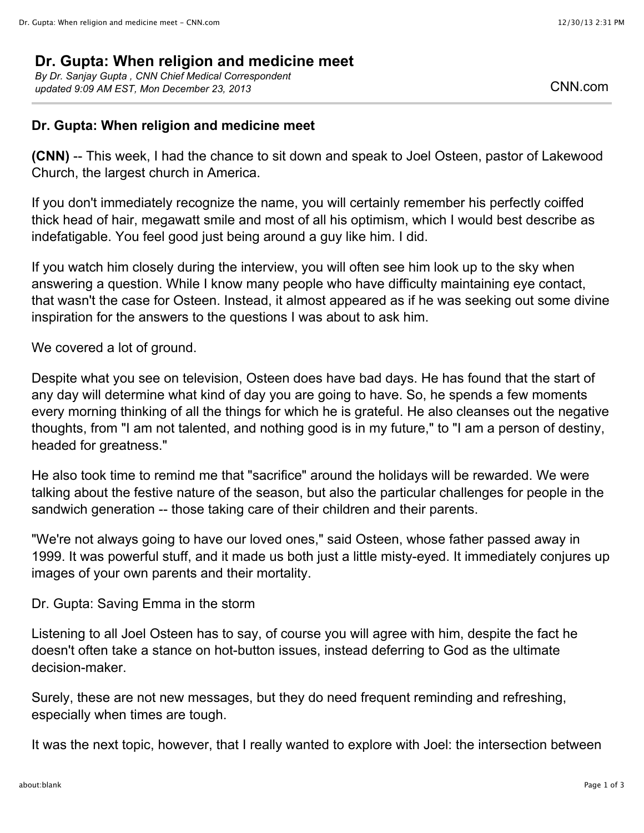## **Dr. Gupta: When religion and medicine meet**

*By Dr. Sanjay Gupta , CNN Chief Medical Correspondent updated 9:09 AM EST, Mon December 23, 2013* CNN.com

## **Dr. Gupta: When religion and medicine meet**

**(CNN)** -- This week, I had the chance to sit down and speak to Joel Osteen, pastor of Lakewood Church, the largest church in America.

If you don't immediately recognize the name, you will certainly remember his perfectly coiffed thick head of hair, megawatt smile and most of all his optimism, which I would best describe as indefatigable. You feel good just being around a guy like him. I did.

If you watch him closely during the interview, you will often see him look up to the sky when answering a question. While I know many people who have difficulty maintaining eye contact, that wasn't the case for Osteen. Instead, it almost appeared as if he was seeking out some divine inspiration for the answers to the questions I was about to ask him.

We covered a lot of ground.

Despite what you see on television, Osteen does have bad days. He has found that the start of any day will determine what kind of day you are going to have. So, he spends a few moments every morning thinking of all the things for which he is grateful. He also cleanses out the negative thoughts, from "I am not talented, and nothing good is in my future," to "I am a person of destiny, headed for greatness."

He also took time to remind me that "sacrifice" around the holidays will be rewarded. We were talking about the festive nature of the season, but also the particular challenges for people in the sandwich generation -- those taking care of their children and their parents.

"We're not always going to have our loved ones," said Osteen, whose father passed away in 1999. It was powerful stuff, and it made us both just a little misty-eyed. It immediately conjures up images of your own parents and their mortality.

[Dr. Gupta: Saving Emma in the storm](http://www.cnn.com/2012/10/31/health/gupta-saving-emma/index.html)

Listening to all Joel Osteen has to say, of course you will agree with him, despite the fact he doesn't often take a stance on hot-button issues, instead deferring to God as the ultimate decision-maker.

Surely, these are not new messages, but they do need frequent reminding and refreshing, especially when times are tough.

It was the next topic, however, that I really wanted to explore with Joel: the intersection between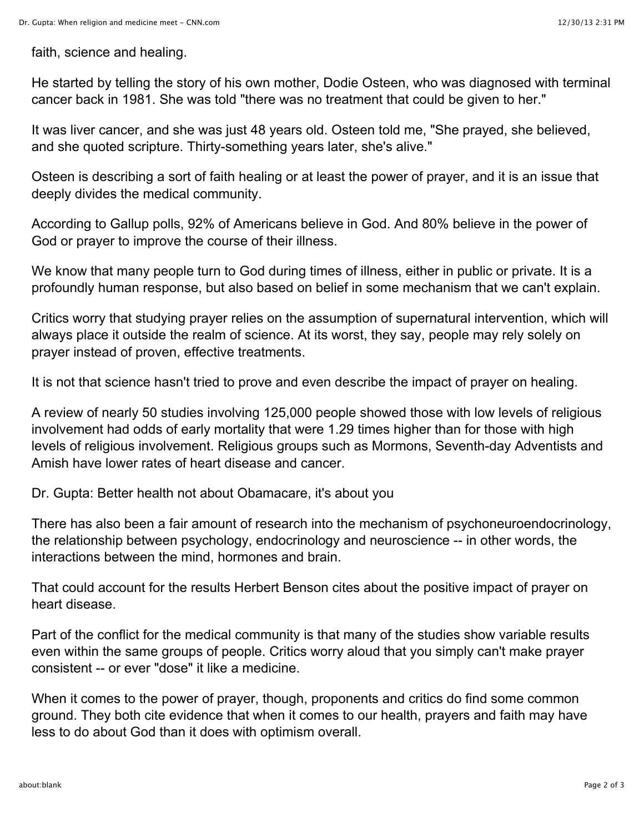faith, science and healing.

He started by telling the story of his own mother, Dodie Osteen, who was diagnosed with terminal cancer back in 1981. She was told "there was no treatment that could be given to her."

It was liver cancer, and she was just 48 years old. Osteen told me, "She prayed, she believed, and she quoted scripture. Thirty-something years later, she's alive."

Osteen is describing a sort of faith healing or at least the power of prayer, and it is an issue that deeply divides the medical community.

According to Gallup polls, 92% of Americans believe in God. And 80% believe in the power of God or prayer to improve the course of their illness.

We know that many people turn to God during times of illness, either in public or private. It is a profoundly human response, but also based on belief in some mechanism that we can't explain.

Critics worry that studying prayer relies on the assumption of supernatural intervention, which will always place it outside the realm of science. At its worst, they say, people may rely solely on prayer instead of proven, effective treatments.

It is not that science hasn't tried to prove and even describe the impact of prayer on healing.

A review of nearly 50 studies involving 125,000 people showed those with low levels of religious involvement had odds of early mortality that were 1.29 times higher than for those with high levels of religious involvement. Religious groups such as Mormons, Seventh-day Adventists and Amish have lower rates of heart disease and cancer.

[Dr. Gupta: Better health not about Obamacare, it's about you](http://www.cnn.com/2013/12/02/opinion/gupta-health-optimize/index.html)

There has also been a fair amount of research into the mechanism of psychoneuroendocrinology, the relationship between psychology, endocrinology and neuroscience -- in other words, the interactions between the mind, hormones and brain.

That could account for the results [Herbert Benson](http://www.massgeneral.org/bhi/about/) cites about the positive impact of prayer on heart disease.

Part of the conflict for the medical community is that many of the studies show variable results even within the same groups of people. Critics worry aloud that you simply can't make prayer consistent -- or ever "dose" it like a medicine.

When it comes to the power of prayer, though, proponents and critics do find some common ground. They both cite evidence that when it comes to our health, prayers and faith may have less to do about God than it does with optimism overall.